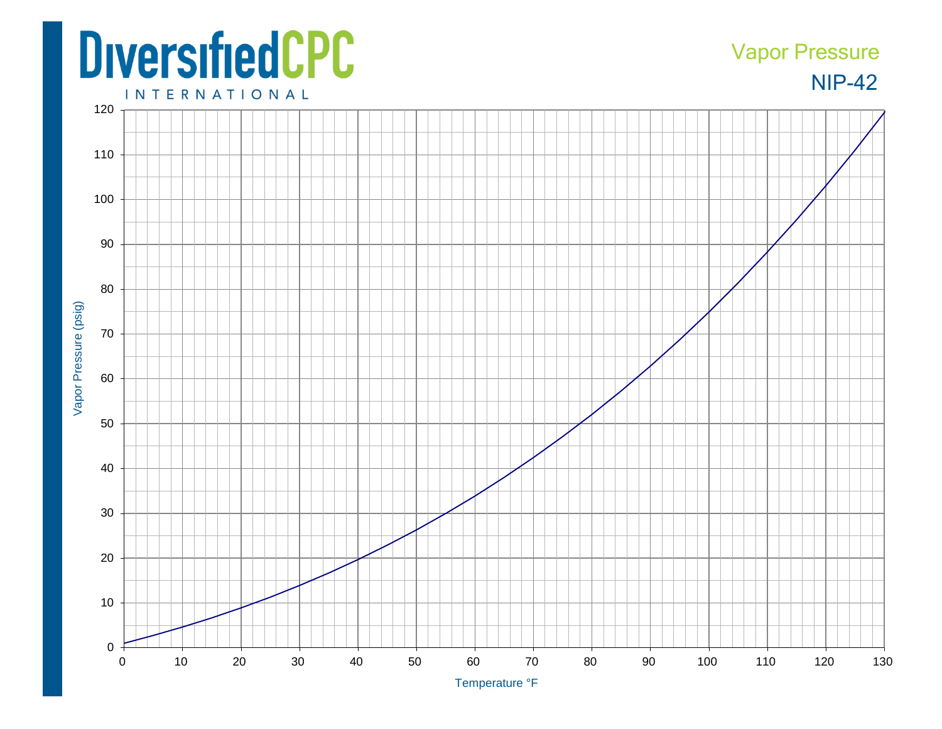## **DiversifiedCPC**

## NIP-42 Vapor Pressure

**INTERNATIONAL**